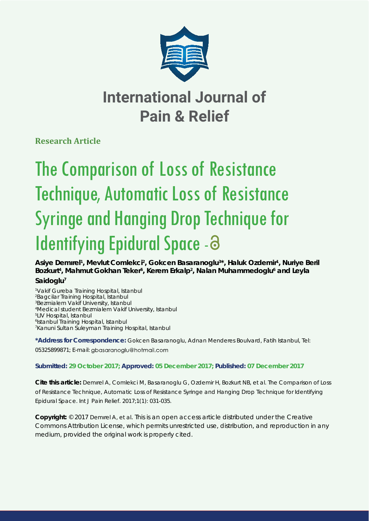

# **International Journal of Pain & Relief**

**Research Article**

# The Comparison of Loss of Resistance Technique, Automatic Loss of Resistance Syringe and Hanging Drop Technique for Identifying Epidural Space - 3

Asiye Demirel<sup>1</sup>, Mevlut Comlekci<sup>2</sup>, Gokcen Basaranoglu<sup>3\*</sup>, Haluk Ozdemir<sup>1</sup>, Nuriye Beril Bozkurt<sup>4</sup>, Mahmut Gokhan Teker<sup>5</sup>, Kerem Erkalp<sup>2</sup>, Nalan Muhammedoglu<sup>6</sup> and Leyla **Saidoglu7**

 *Vakif Gureba Training Hospital, Istanbul Bagcilar Training Hospital, Istanbul Bezmialem Vakif University, Istanbul Medical student Bezmialem Vakif University, Istanbul LIV Hospital, Istanbul Istanbul Training Hospital, Istanbul Kanuni Sultan Suleyman Training Hospital, Istanbul*

**\*Address for Correspondence:** Gokcen Basaranoglu, Adnan Menderes Boulvard, Fatih Istanbul, Tel: 05325899871; E-mail: gbasaranoglu@hotmail.com

# **Submitted: 29 October 2017; Approved: 05 December 2017; Published: 07 December 2017**

**Cite this article:** Demırel A, Comlekci M, Basaranoglu G, Ozdemir H, Bozkurt NB, et al. The Comparison of Loss of Resistance Technique, Automatic Loss of Resistance Syringe and Hanging Drop Technique for Identifying Epidural Space. Int J Pain Relief. 2017;1(1): 031-035.

**Copyright:** © 2017 Demırel A, et al. This is an open access article distributed under the Creative Commons Attribution License, which permits unrestricted use, distribution, and reproduction in any medium, provided the original work is properly cited.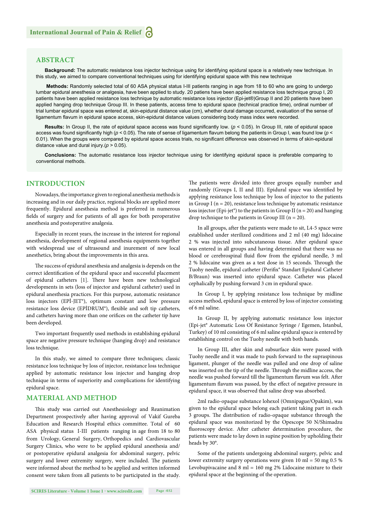## **ABSTRACT**

**Background:** The automatic resistance loss injector technique using for identifying epidural space is a relatively new technique. In this study, we aimed to compare conventional techniques using for identifying epidural space with this new technique

**Methods:** Randomly selected total of 60 ASA physical status I-III patients ranging in age from 18 to 60 who are going to undergo lumbar epidural anesthesia or analgesia, have been applied to study. 20 patiens have been applied resistance loss technique group I, 20 patients have been applied resistance loss technique by automatic resistance loss injector (Epi-jet®)Group II and 20 patients have been applied hanging drop technique Group III. In these patients, access time to epidural space (technical practice time), ordinal number of trial lumbar epidural space was entered at, skin-epidural distance value (cm), whether dural damage occurred, evaluation of the sense of ligamentum flavum in epidural space access, skin-epidural distance values considering body mass index were recorded.

**Results:** In Group II, the rate of epidural space access was found significantly low. ( $p < 0.05$ ). In Group III, rate of epidural space access was found significantly high ( $p < 0.05$ ). The rate of sense of ligamentum flavum belong the patients in Group I, was found low ( $p <$ 0.01). When the groups were compared by epidural space access trials, no significant difference was observed in terms of skin-epidural distance value and dural injury.(*p* > 0.05).

**Conclusions:** The automatic resistance loss injector technique using for identifying epidural space is preferable comparing to conventional methods.

# **INTRODUCTION**

Nowadays, the importance given to regional anesthesia methods is increasing and in our daily practice, regional blocks are applied more frequently. Epidural anesthesia method is preferred in numerous fields of surgery and for patients of all ages for both peroperative anesthesia and postoperative analgesia.

Especially in recent years, the increase in the interest for regional anesthesia, development of regional anesthesia equipments together with widespread use of ultrasound and inurement of new local anesthetics, bring about the improvements in this area.

The success of epidural anesthesia and analgesia is depends on the correct identification of the epidural space and successful placement of epidural catheters [1]. There have been new technological developments in sets (loss of injector and epidural catheter) used in epidural anesthesia practices. For this purpose, automatic resistance loss injectors (EPİ-JET®), optimum constant and low pressure resistance loss device (EPİDRUM®), flexible and soft tip catheters, and catheters having more than one orifices on the catheter tip have been developed.

Two important frequently used methods in establishing epidural space are negative pressure technique (hanging drop) and resistance loss technique.

In this study, we aimed to compare three techniques; classic resistance loss technique by loss of injector, resistance loss technique applied by automatic resistance loss injector and hanging drop technique in terms of superiority and complications for identifying epidural space.

### **MATERIAL AND METHOD**

This study was carried out Anesthesiology and Reanimation Department prospectively after having approval of Vakif Gureba Education and Research Hospital ethics committee. Total of 60 ASA physical status I-III patients ranging in age from 18 to 80 from Urology, General Surgery, Orthopedics and Cardiovascular Surgery Clinics, who were to be applied epidural anesthesia and/ or postoperative epidural analgesia for abdominal surgery, pelvic surgery and lower extremity surgery, were included. The patients were informed about the method to be applied and written informed consent were taken from all patients to be participated in the study. The patients were divided into three groups equally number and randomly (Groups I, II and III). Epidural space was identified by applying resistance loss technique by loss of injector to the patients in Group I ( $n = 20$ ), resistance loss technique by automatic resistance loss injector (Epi-jet<sup>®</sup>) to the patients in Group II ( $n = 20$ ) and hanging drop technique to the patients in Group III ( $n = 20$ ).

In all groups, after the patients were made to sit, L4-5 space were established under sterilized conditions and 2 ml (40 mg) lidocaine 2 % was injected into subcutaneous tissue. After epidural space was entered in all groups and having determined that there was no blood or cerebrospinal fluid flow from the epidural needle, 3 ml 2 % lidocaine was given as a test dose in 15 seconds. Through the Tuohy needle, epidural catheter (Perifix® Standart Epidural Catheter B/Braun) was inserted into epidural space. Catheter was placed cephalically by pushing forward 3 cm in epidural space.

In Group I, by applying resistance loss technique by midline access method, epidural space is entered by loss of injector consisting of 6 ml saline.

In Group II, by applying automatic resistance loss injector (Epi-jet® Automatic Loss Of Resistance Syringe / Egemen, Istanbul, Turkey) of 10 ml consisting of 6 ml saline epidural space is entered by establishing control on the Tuohy needle with both hands.

In Group III, after skin and subsurface skin were passed with Tuohy needle and it was made to push forward to the supraspinous ligament, plunger of the needle was pulled and one drop of saline was inserted on the tip of the needle. Through the midline access, the needle was pushed forward till the ligamentum flavum was felt. After ligamentum flavum was passed, by the effect of negative pressure in epidural space, it was observed that saline drop was absorbed.

2ml radio-opaque substance lohexol (Omnipague/Opakim), was given to the epidural space belong each patient taking part in each 3 groups. The distribution of radio-opaque substance through the epidural space was monitorized by the Opescope 50 N/Shimadzu fluoroscopy device. After catheter determination procedure, the patients were made to lay down in supine position by upholding their heads by 30°.

Some of the patients undergoing abdominal surgery, pelvic and lower extremity surgery operations were given 10 ml = 50 mg 0.5 % Levobupivacaine and 8 ml = 160 mg 2% Lidocaine mixture to their epidural space at the beginning of the operation.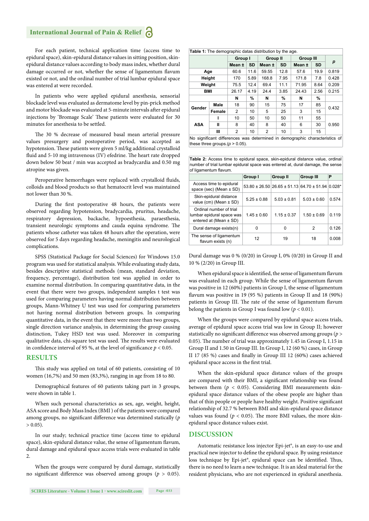# **International Journal of Pain & Relief**

For each patient, technical application time (access time to epidural space), skin-epidural distance values in sitting position, skinepidural distance values according to body mass index, whether dural damage occurred or not, whether the sense of ligamentum flavum existed or not, and the ordinal number of trial lumbar epidural space was entered at were recorded.

In patients who were applied epidural anesthesia, sensorial blockade level was evaluated as dermatome level by pin-prick method and motor blockade was evaluated at 5-minute intervals after epidural injections by 'Bromage Scale' These patients were evaluated for 30 minutes for anesthesia to be settled.

The 30 % decrease of measured basal mean arterial pressure values presurgery and postoperative period, was accepted as hypotension. These patients were given 5 ml/kg additional crystalloid fluid and 5-10 mg intravenous (IV) efedrine. The heart rate dropped down below 50 beat / min was accepted as bradycardia and 0.50 mg atropine was given.

Peroperative hemorrhages were replaced with crystalloid fluids, colloids and blood products so that hematocrit level was maintained not lower than 30 %.

During the first postoperative 48 hours, the patients were observed regarding hypotension, bradycardia, pruritus, headache, respiratory depression, backache, hypoesthesia, paraesthesia, transient neurologic symptoms and cauda equina syndrome. The patients whose catheter was taken 48 hours after the operation, were observed for 5 days regarding headache, meningitis and neurological complications.

SPSS (Statistical Package for Social Sciences) for Windows 15.0 program was used for statistical analysis. While evaluating study data, besides descriptive statistical methods (mean, standard deviation, frequency, percentage), distribution test was applied in order to examine normal distribution. In comparing quantitative data, in the event that there were two groups, independent samples t test was used for comparing parameters having normal distribution between groups, Mann-Whitney U test was used for comparing parameters not having normal distribution between groups. In comparing quantitative data, in the event that there were more than two groups, single direction variance analysis, in determining the group causing distinction, Tukey HSD test was used. Moreover in comparing qualitative data, chi-square test was used. The results were evaluated in confidence interval of 95 %, at the level of significance  $p < 0.05$ .

#### **RESULTS**

This study was applied on total of 60 patients, consisting of 10 women (16,7%) and 50 men (83,3%), ranging in age from 18 to 80.

Demographical features of 60 patients taking part in 3 groups, were shown in table 1.

When such personal characteristics as sex, age, weight, height, ASA score and Body Mass Index (BMI ) of the patients were compared among groups, no significant difference was determined statically (*p*  $> 0.05$ 

In our study; technical practice time (access time to epidural space), skin-epidural distance value, the sense of ligamentum flavum, dural damage and epidural space access trials were evaluated in table 2.

When the groups were compared by dural damage, statistically no significant difference was observed among groups ( $p > 0.05$ ).

| <b>Table 1:</b> The demographic datas distribution by the age. |        |         |           |                 |           |                  |      |       |  |  |  |
|----------------------------------------------------------------|--------|---------|-----------|-----------------|-----------|------------------|------|-------|--|--|--|
|                                                                |        | Group I |           | <b>Group II</b> |           | <b>Group III</b> |      |       |  |  |  |
|                                                                |        | Mean ±  | <b>SD</b> | Mean ±          | <b>SD</b> | Mean ±           | SD   | р     |  |  |  |
| Age                                                            |        | 60.6    | 11.6      | 59.55           | 12.8      | 57.6             | 19.9 | 0.819 |  |  |  |
| Height                                                         |        | 170     | 5.89      | 168.8           | 7.95      | 171.8            | 7.8  | 0.428 |  |  |  |
| Weight                                                         |        | 75.5    | 12.4      | 69.4            | 11.1      | 71.95            | 8.64 | 0.209 |  |  |  |
| <b>BMI</b>                                                     |        | 26.17   | 4.19      | 24.4            | 3.85      | 24.43            | 2.56 | 0.215 |  |  |  |
|                                                                |        | N       | %         | N               | %         | N                | %    |       |  |  |  |
| Gender                                                         | Male   | 18      | 90        | 15              | 75        | 17               | 85   | 0.432 |  |  |  |
|                                                                | Female | 2       | 10        | 5               | 25        | 3                | 15   |       |  |  |  |
| ASA                                                            | ı      | 10      | 50        | 10              | 50        | 11               | 55   |       |  |  |  |
|                                                                | Ш      | 8       | 40        | 8               | 40        | 6                | 30   | 0.950 |  |  |  |
|                                                                | Ш      | 2       | 10        | $\overline{2}$  | 10        | 3                | 15   |       |  |  |  |

No significant differences was determined in demographic characteristics of these three groups. $(p > 0.05)$ .

**Table 2:** Access time to epidural space, skin-epidural distance value, ordinal number of trial lumbar epidural space was entered at, dural damage, the sense of ligamentum flavum

|                                                                                    | Group I         | Group II        | <b>Group III</b>                                      | Р        |
|------------------------------------------------------------------------------------|-----------------|-----------------|-------------------------------------------------------|----------|
| Access time to epidural<br>space (sec) (Mean $\pm$ SD)                             |                 |                 | $53.80 \pm 26.50$ 26.65 $\pm$ 51.13 64.70 $\pm$ 51.94 | $0.028*$ |
| Skin-epidural distance<br>value (cm) (Mean $\pm$ SD)                               | $5.25 \pm 0.88$ | $5.03 \pm 0.81$ | $5.03 \pm 0.60$                                       | 0.574    |
| Ordinal number of trial<br>lumbar epidural space was<br>entered at (Mean $\pm$ SD) | $1.45 \pm 0.60$ | $1.15 \pm 0.37$ | $1.50 \pm 0.69$                                       | 0.119    |
| Dural damage exists(n)                                                             | 0               | 0               | $\overline{2}$                                        | 0.126    |
| The sense of ligamentum<br>flavum exists (n)                                       | 12              | 19              | 18                                                    | 0.008    |

Dural damage was 0 % (0/20) in Group I, 0% (0/20) in Group II and 10 % (2/20) in Group III.

When epidural space is identified, the sense of ligamentum flavum was evaluated in each group. While the sense of ligamentum flavum was positive in 12 (60%) patients in Group I, the sense of ligamentum flavum was positive in 19 (95 %) patients in Group II and 18 (90%) patients in Group III. The rate of the sense of ligamentum flavum belong the patients in Group I was found low  $(p < 0.01)$ .

When the groups were compared by epidural space access trials, average of epidural space access trial was low in Group II; however statistically no significant difference was observed among groups ( $p$  > 0.05). The number of trial was approximately 1.45 in Group I, 1.15 in Group II and 1.50 in Group III. In Group I, 12 (60 %) cases, in Group II 17 (85 %) cases and finally in Group III 12 (60%) cases achieved epidural space access in the first trial.

When the skin-epidural space distance values of the groups are compared with their BMI, a significant relationship was found between them ( $p < 0.05$ ). Considering BMI measurements skinepidural space distance values of the obese people are higher than that of thin people or people have healthy weight. Positive significant relationship of 32.7 % between BMI and skin-epidural space distance values was found ( $p < 0.05$ ). The more BMI values, the more skinepidural space distance values exist.

#### **DISCUSSION**

Automatic resistance loss injector Epi-jet®, is an easy-to-use and practical new injector to define the epidural space. By using resistance loss technique by Epi-jet®, epidural space can be identified. Thus, there is no need to learn a new technique. It is an ideal material for the resident physicians, who are not experienced in epidural anesthesia.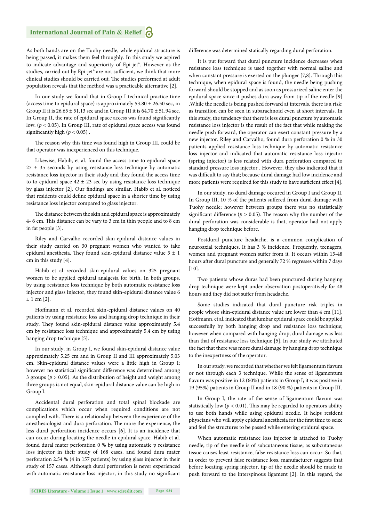As both hands are on the Tuohy needle, while epidural structure is being passed, it makes them feel throughly. In this study we aspired to indicate advantage and superiority of Epi-jet®. However as the studies, carried out by Epi-jet® are not sufficient, we think that more clinical studies should be carried out. The studies performed at adult population reveals that the method was a practicable alternative [2].

In our study we found that in Group I technical practice time (access time to epidural space) is approximately  $53.80 \pm 26.50$  sec, in Group II it is  $26.65 \pm 51.13$  sec and in Group III it is  $64.70 \pm 51.94$  sec. In Group II, the rate of epidural space access was found significantly low. (*p* < 0.05). In Group III, rate of epidural space access was found significantly high ( $p < 0.05$ ).

The reason why this time was found high in Group III, could be that operator was inexperienced on this technique.

Likewise, Habib, et al. found the access time to epidural space  $27 \pm 35$  seconds by using resistance loss technique by automatic resistance loss injector in their study and they found the access time to to epidural space  $42 \pm 23$  sec by using resistance loss technique by glass injector [2]. Our findings are similar. Habib et al. noticed that residents could define epidural space in a shorter time by using resistance loss injector compared to glass injector.

The distance between the skin and epidural space is approximately 4- 6 cm. This distance can be vary to 3 cm in thin people and to 8 cm in fat people [3].

Riley and Carvalho recorded skin-epidural distance values in their study carried on 30 pregnant women who wanted to take epidural anesthesia. They found skin-epidural distance value  $5 \pm 1$ cm in this study [4].

Habib et al recorded skin-epidural values on 325 pregnant women to be applied epidural analgesia for birth. In both groups, by using resistance loss technique by both automatic resistance loss injector and glass injector, they found skin-epidural distance value 6 ± 1 cm [2].

Hoffmann et al. recorded skin-epidural distance values on 40 patients by using resistance loss and hanging drop technique in their study. They found skin-epidural distance value approximately 5.4 cm by resistance loss technique and approximately 5.4 cm by using hanging drop technique [5].

In our study, in Group I, we found skin-epidural distance value approximately 5.25 cm and in Group II and III approximately 5.03 cm. Skin-epidural distance values were a little high in Group I; however no statistical significant difference was determined among 3 groups (*p* > 0.05). As the distribution of height and weight among three groups is not equal, skin-epidural distance value can be high in Group I.

Accidental dural perforation and total spinal blockade are complications which occur when required conditions are not complied with. There is a relationship between the experience of the anesthesiologist and dura perforation. The more the experience, the less dural perforation incidence occurs [6]. It is an incidence that can occur during locating the needle in epidural space. Habib et al. found dural mater perforation 0 % by using automatic p resistance loss injector in their study of 168 cases, and found dura mater perforation 2.54 % (4 in 157 patients) by using glass injector in their study of 157 cases. Although dural perforation is never experienced with automatic resistance loss injector, in this study no significant difference was determined statically regarding dural perforation.

It is put forward that dural puncture incidence decreases when resistance loss technique is used together with normal saline and when constant pressure is exerted on the plunger [7,8]. Through this technique, when epidural space is found, the needle being pushing forward should be stopped and as soon as pressurized saline enter the epidural space since it pushes dura away from tip of the needle [9] .While the needle is being pushed forward at intervals, there is a risk; as transition can be seen in subarachnoid even at short intervals. In this study, the tendency that there is less dural puncture by automatic resistance loss injector is the result of the fact that while making the needle push forward, the operator can exert constant pressure by a new injector. Riley and Carvalho, found dura perforation 0 % in 30 patients applied resistance loss technique by automatic resistance loss injector and indicated that automatic resistance loss injector (spring injector) is less related with dura perforation compared to standard pressure loss injector . However, they also indicated that it was difficult to say that; because dural damage had low incidence and more patients were required for this study to have sufficient effect [4].

In our study, no dural damage occured in Group I and Group II. In Group III, 10 % of the patients suffered from dural damage with Tuohy needle; however between groups there was no statistically significant difference ( $p > 0.05$ ). The reason why the number of the dural perforation was considerable is that, operator had not apply hanging drop technique before.

Postdural puncture headache, is a common complication of neuroaxial techniques. It has 3 % incidence. Frequently, teenagers, women and pregnant women suffer from it. It occurs within 15-48 hours after dural puncture and generally 72 % regresses within 7 days  $[10]$ .

Two patients whose duras had been punctured during hanging drop technique were kept under observation postoperatively for 48 hours and they did not suffer from headache.

Some studies indicated that dural puncture risk triples in people whose skin-epidural distance value are lower than 4 cm [11]. Hoffmann, et al. indicated that lumbar epidural space could be applied successfully by both hanging drop and resistance loss technique; however when compared with hanging drop, dural damage was less than that of resistance loss technique [5]. In our study we attributed the fact that there was more dural damage by hanging drop technique to the inexpertness of the operator.

In our study, we recorded that whether we felt ligamentum flavum or not through each 3 technique. While the sense of ligamentum flavum was positive in 12 (60%) patients in Group I; it was positive in 19 (95%) patients in Group II and in 18 (90 %) patients in Group III.

In Group I, the rate of the sense of ligamentum flavum was statistically low ( $p < 0.01$ ). This may be regarded to operators ability to use both hands while using epidural needle. It helps resident physcians who will apply epidural anesthesia for the first time to seize and feel the structures to be passed while entering epidural space.

When automatic resistance loss injector is attached to Tuohy needle, tip of the needle is of subcutaneous tissue; as subcutaneous tissue causes least resistance, false resistance loss can occur. So that, in order to prevent false resistance loss, manufacturer suggests that before locating spring injector, tip of the needle should be made to push forward to the interspinous ligament [2]. In this regard, the